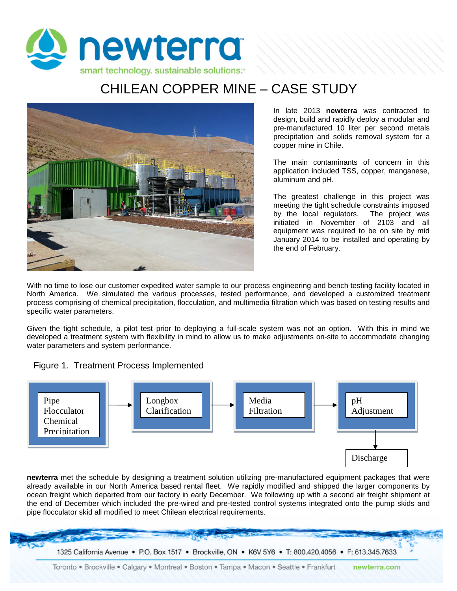

## CHILEAN COPPER MINE – CASE STUDY



In late 2013 **newterra** was contracted to design, build and rapidly deploy a modular and pre-manufactured 10 liter per second metals precipitation and solids removal system for a copper mine in Chile.

The main contaminants of concern in this application included TSS, copper, manganese, aluminum and pH.

The greatest challenge in this project was meeting the tight schedule constraints imposed by the local regulators. The project was initiated in November of 2103 and all equipment was required to be on site by mid January 2014 to be installed and operating by the end of February.

With no time to lose our customer expedited water sample to our process engineering and bench testing facility located in North America. We simulated the various processes, tested performance, and developed a customized treatment process comprising of chemical precipitation, flocculation, and multimedia filtration which was based on testing results and specific water parameters.

Given the tight schedule, a pilot test prior to deploying a full-scale system was not an option. With this in mind we developed a treatment system with flexibility in mind to allow us to make adjustments on-site to accommodate changing water parameters and system performance.





**newterra** met the schedule by designing a treatment solution utilizing pre-manufactured equipment packages that were already available in our North America based rental fleet. We rapidly modified and shipped the larger components by ocean freight which departed from our factory in early December. We following up with a second air freight shipment at the end of December which included the pre-wired and pre-tested control systems integrated onto the pump skids and pipe flocculator skid all modified to meet Chilean electrical requirements.

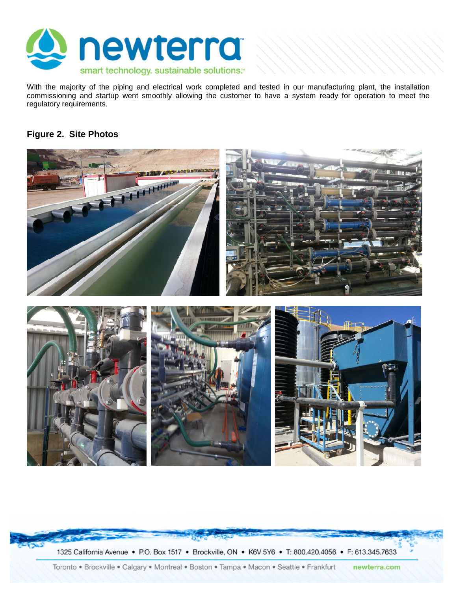

With the majority of the piping and electrical work completed and tested in our manufacturing plant, the installation commissioning and startup went smoothly allowing the customer to have a system ready for operation to meet the regulatory requirements.

## **Figure 2. Site Photos**